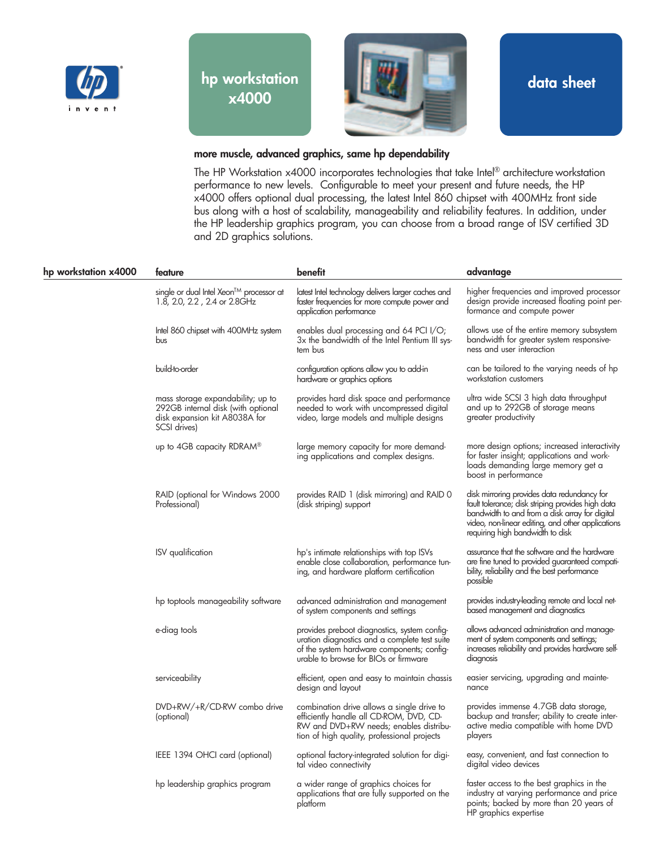



**data sheet**

## **more muscle, advanced graphics, same hp dependability**

The HP Workstation x4000 incorporates technologies that take Intel® architecture workstation performance to new levels. Configurable to meet your present and future needs, the HP x4000 offers optional dual processing, the latest Intel 860 chipset with 400MHz front side bus along with a host of scalability, manageability and reliability features. In addition, under the HP leadership graphics program, you can choose from a broad range of ISV certified 3D and 2D graphics solutions.

| hp workstation x4000 | feature                                                                                                                  | benefit                                                                                                                                                                              | advantage                                                                                                                                                                                                                                   |
|----------------------|--------------------------------------------------------------------------------------------------------------------------|--------------------------------------------------------------------------------------------------------------------------------------------------------------------------------------|---------------------------------------------------------------------------------------------------------------------------------------------------------------------------------------------------------------------------------------------|
|                      | single or dual Intel Xeon™ processor at<br>1.8, 2.0, 2.2, 2.4 or 2.8GHz                                                  | latest Intel technology delivers larger caches and<br>faster frequencies for more compute power and<br>application performance                                                       | higher frequencies and improved processor<br>design provide increased floating point per-<br>formance and compute power                                                                                                                     |
|                      | Intel 860 chipset with 400MHz system<br>bus                                                                              | enables dual processing and 64 PCI I/O;<br>3x the bandwidth of the Intel Pentium III sys-<br>tem bus                                                                                 | allows use of the entire memory subsystem<br>bandwidth for greater system responsive-<br>ness and user interaction                                                                                                                          |
|                      | build-to-order                                                                                                           | contiguration options allow you to add-in<br>hardware or graphics options                                                                                                            | can be tailored to the varying needs of hp<br>workstation customers                                                                                                                                                                         |
|                      | mass storage expandability; up to<br>292GB internal disk (with optional<br>disk expansion kit A8038A for<br>SCSI drives) | provides hard disk space and performance<br>needed to work with uncompressed digital<br>video, large models and multiple designs                                                     | ultra wide SCSI 3 high data throughput<br>and up to 292GB of storage means<br>greater productivity                                                                                                                                          |
|                      | up to 4GB capacity RDRAM <sup>®</sup>                                                                                    | large memory capacity for more demand-<br>ing applications and complex designs.                                                                                                      | more design options; increased interactivity<br>for faster insight; applications and work-<br>loads demanding large memory get a<br>boost in performance                                                                                    |
|                      | RAID (optional for Windows 2000<br>Professional)                                                                         | provides RAID 1 (disk mirroring) and RAID 0<br>(disk striping) support                                                                                                               | disk mirroring provides data redundancy for<br>fault tolerance; disk striping provides high data<br>bandwidth to and from a disk array for digital<br>video, non-linear editing, and other applications<br>requiring high bandwidth to disk |
|                      | ISV qualification                                                                                                        | hp's intimate relationships with top ISVs<br>enable close collaboration, performance tun-<br>ing, and hardware platform certification                                                | assurance that the software and the hardware<br>are fine tuned to provided guaranteed compati-<br>bility, reliability and the best performance<br>possible                                                                                  |
|                      | hp toptools manageability software                                                                                       | advanced administration and management<br>of system components and settings                                                                                                          | provides industry-leading remote and local net-<br>based management and diagnostics                                                                                                                                                         |
|                      | e-diag tools                                                                                                             | provides preboot diagnostics, system contig-<br>uration diagnostics and a complete test suite<br>of the system hardware components; config-<br>urable to browse for BIOs or firmware | allows advanced administration and manage-<br>ment of system components and settings;<br>increases reliability and provides hardware self-<br>diagnosis                                                                                     |
|                      | serviceability                                                                                                           | efficient, open and easy to maintain chassis<br>design and layout                                                                                                                    | easier servicing, upgrading and mainte-<br>nance                                                                                                                                                                                            |
|                      | DVD+RW/+R/CD-RW combo drive<br>(optional)                                                                                | combination drive allows a single drive to<br>efficiently handle all CD-ROM, DVD, CD-<br>RW and DVD+RW needs; enables distribu-<br>tion of high quality, professional projects       | provides immense 4.7GB data storage,<br>backup and transfer; ability to create inter-<br>active media compatible with home DVD<br>players                                                                                                   |
|                      | IEEE 1394 OHCI card (optional)                                                                                           | optional factory-integrated solution for digi-<br>tal video connectivity                                                                                                             | easy, convenient, and tast connection to<br>digital video devices                                                                                                                                                                           |
|                      | hp leadership graphics program                                                                                           | a wider range of graphics choices for<br>applications that are fully supported on the<br>platform                                                                                    | taster access to the best graphics in the<br>industry at varying performance and price<br>points; backed by more than 20 years of<br>HP graphics expertise                                                                                  |